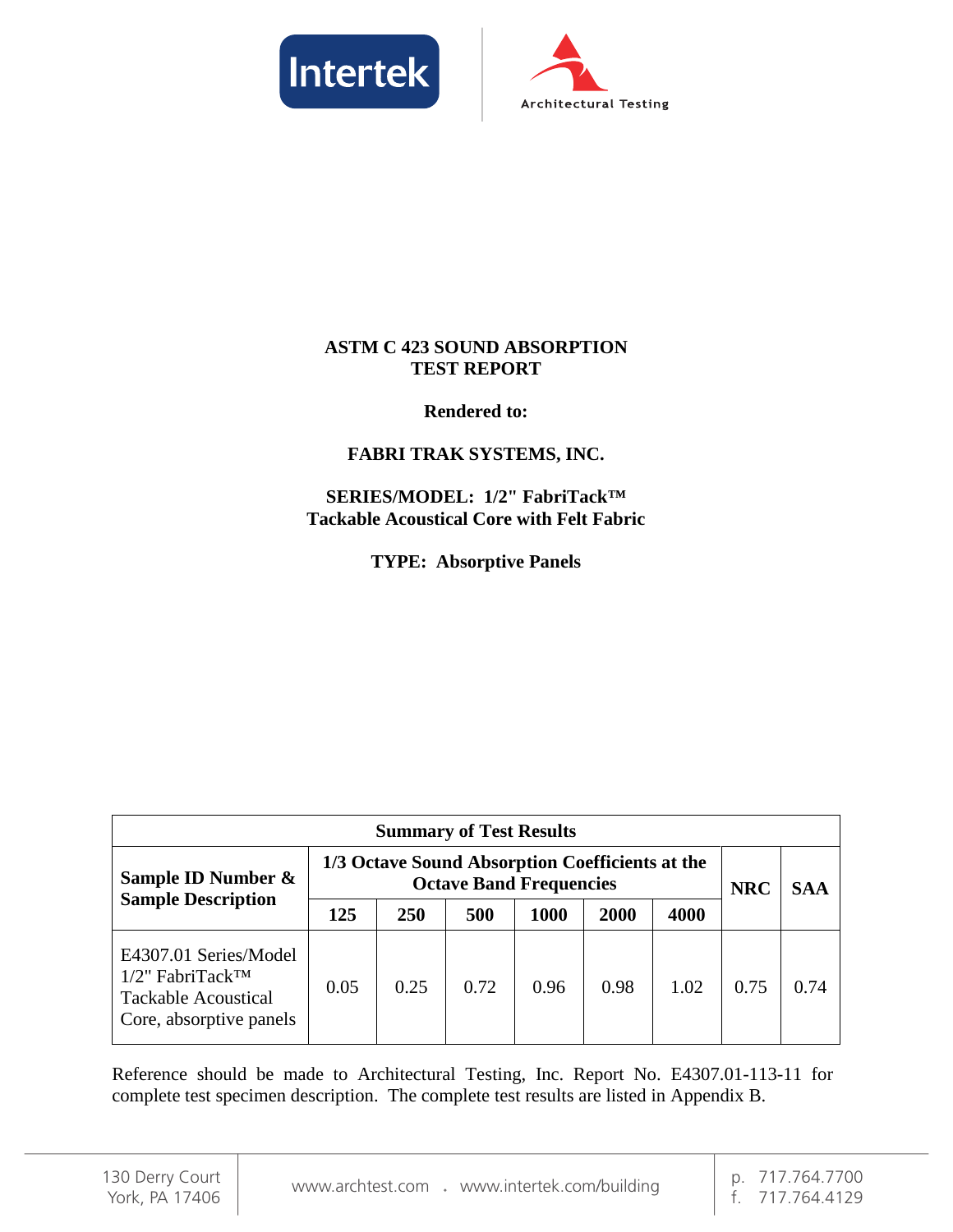



# **ASTM C 423 SOUND ABSORPTION TEST REPORT**

**Rendered to:**

# **FABRI TRAK SYSTEMS, INC.**

**SERIES/MODEL: 1/2" FabriTack™ Tackable Acoustical Core with Felt Fabric**

**TYPE: Absorptive Panels**

| <b>Summary of Test Results</b>                                                                                    |                                                                                   |      |      |      |      |      |            |            |
|-------------------------------------------------------------------------------------------------------------------|-----------------------------------------------------------------------------------|------|------|------|------|------|------------|------------|
| Sample ID Number &                                                                                                | 1/3 Octave Sound Absorption Coefficients at the<br><b>Octave Band Frequencies</b> |      |      |      |      |      | <b>NRC</b> | <b>SAA</b> |
| <b>Sample Description</b>                                                                                         | 125                                                                               | 250  | 500  | 1000 | 2000 | 4000 |            |            |
| E4307.01 Series/Model<br>$1/2$ " FabriTack <sup>TM</sup><br><b>Tackable Acoustical</b><br>Core, absorptive panels | 0.05                                                                              | 0.25 | 0.72 | 0.96 | 0.98 | 1.02 | 0.75       | 0.74       |

Reference should be made to Architectural Testing, Inc. Report No. E4307.01-113-11 for complete test specimen description. The complete test results are listed in Appendix B.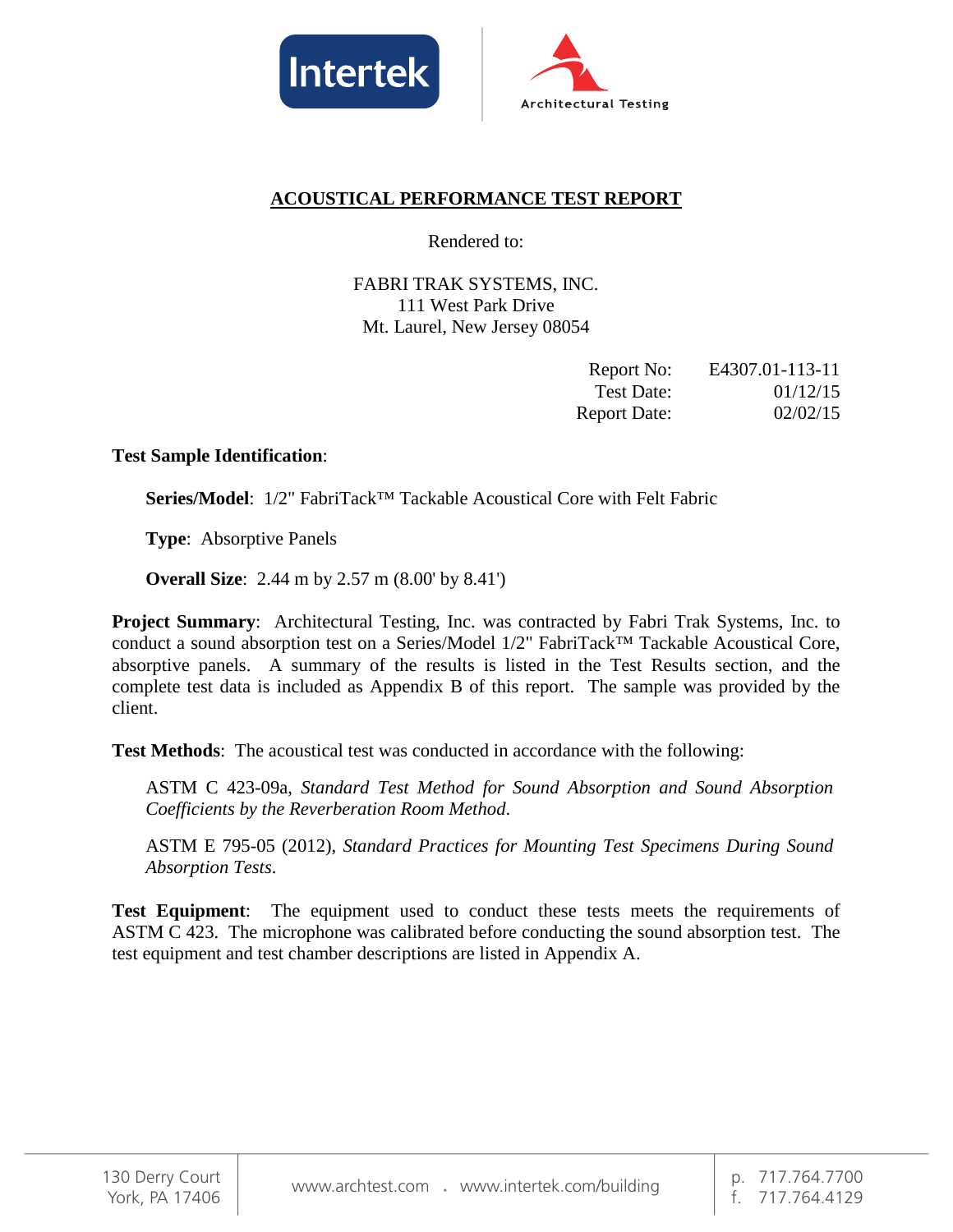



# **ACOUSTICAL PERFORMANCE TEST REPORT**

Rendered to:

FABRI TRAK SYSTEMS, INC. 111 West Park Drive Mt. Laurel, New Jersey 08054

| Report No:          | E4307.01-113-11 |
|---------------------|-----------------|
| Test Date:          | 01/12/15        |
| <b>Report Date:</b> | 02/02/15        |

## **Test Sample Identification**:

**Series/Model**: 1/2" FabriTack™ Tackable Acoustical Core with Felt Fabric

**Type**: Absorptive Panels

**Overall Size**: 2.44 m by 2.57 m (8.00' by 8.41')

**Project Summary**: Architectural Testing, Inc. was contracted by Fabri Trak Systems, Inc. to conduct a sound absorption test on a Series/Model 1/2" FabriTack™ Tackable Acoustical Core, absorptive panels. A summary of the results is listed in the Test Results section, and the complete test data is included as Appendix B of this report. The sample was provided by the client.

**Test Methods**: The acoustical test was conducted in accordance with the following:

ASTM C 423-09a, *Standard Test Method for Sound Absorption and Sound Absorption Coefficients by the Reverberation Room Method*.

ASTM E 795-05 (2012), *Standard Practices for Mounting Test Specimens During Sound Absorption Tests*.

**Test Equipment**: The equipment used to conduct these tests meets the requirements of ASTM C 423. The microphone was calibrated before conducting the sound absorption test. The test equipment and test chamber descriptions are listed in Appendix A.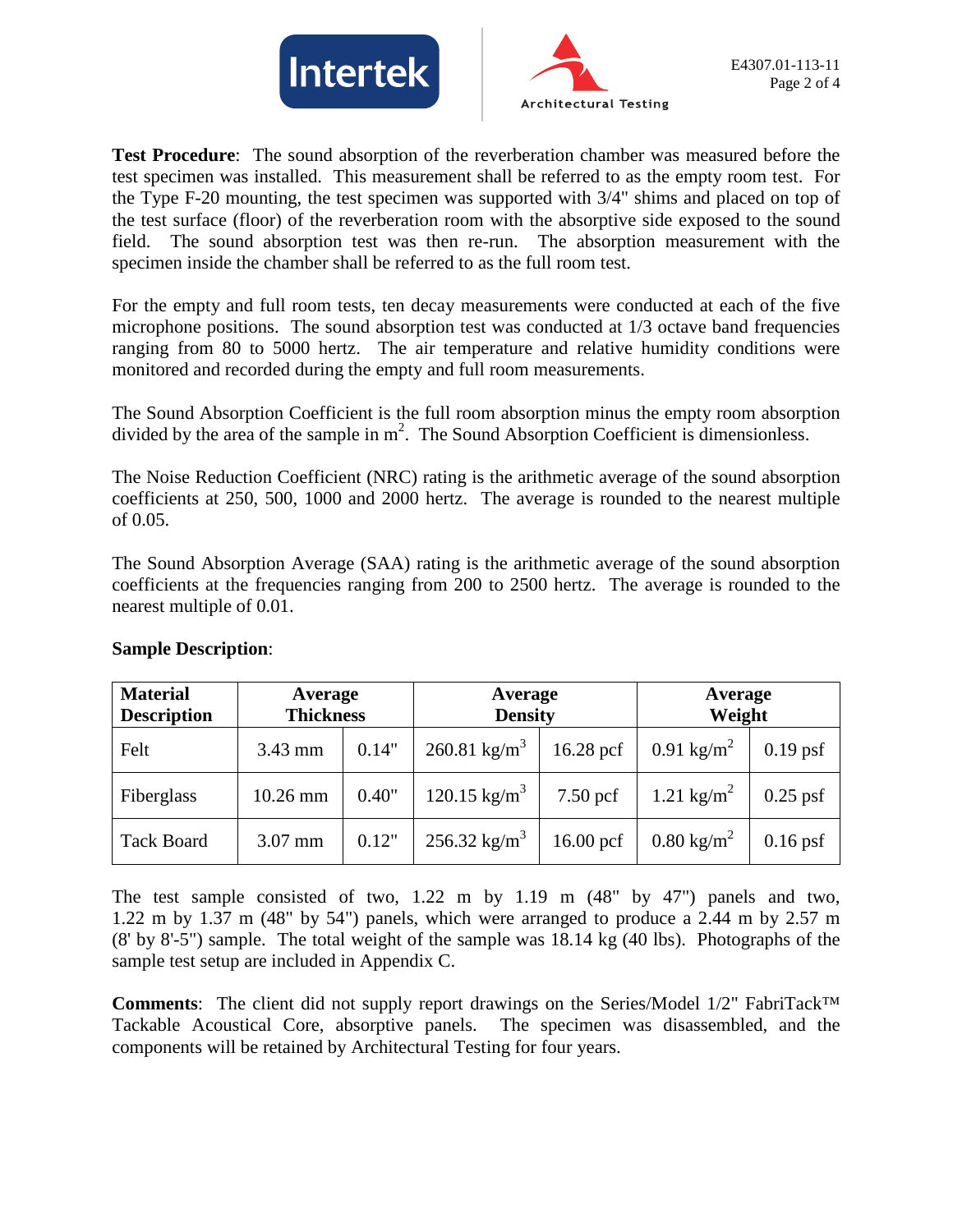



**Test Procedure**: The sound absorption of the reverberation chamber was measured before the test specimen was installed. This measurement shall be referred to as the empty room test. For the Type F-20 mounting, the test specimen was supported with 3/4" shims and placed on top of the test surface (floor) of the reverberation room with the absorptive side exposed to the sound field. The sound absorption test was then re-run. The absorption measurement with the specimen inside the chamber shall be referred to as the full room test.

For the empty and full room tests, ten decay measurements were conducted at each of the five microphone positions. The sound absorption test was conducted at 1/3 octave band frequencies ranging from 80 to 5000 hertz. The air temperature and relative humidity conditions were monitored and recorded during the empty and full room measurements.

The Sound Absorption Coefficient is the full room absorption minus the empty room absorption divided by the area of the sample in  $m^2$ . The Sound Absorption Coefficient is dimensionless.

The Noise Reduction Coefficient (NRC) rating is the arithmetic average of the sound absorption coefficients at 250, 500, 1000 and 2000 hertz. The average is rounded to the nearest multiple of 0.05.

The Sound Absorption Average (SAA) rating is the arithmetic average of the sound absorption coefficients at the frequencies ranging from 200 to 2500 hertz. The average is rounded to the nearest multiple of 0.01.

| <b>Material</b><br><b>Description</b> | Average<br><b>Thickness</b> |       | Average<br><b>Density</b> |             | Average<br>Weight      |            |
|---------------------------------------|-----------------------------|-------|---------------------------|-------------|------------------------|------------|
| Felt                                  | $3.43$ mm                   | 0.14" | 260.81 kg/m <sup>3</sup>  | 16.28 pcf   | 0.91 $\text{kg/m}^2$   | $0.19$ psf |
| Fiberglass                            | 10.26 mm                    | 0.40" | 120.15 $\text{kg/m}^3$    | $7.50$ pcf  | 1.21 kg/m <sup>2</sup> | $0.25$ psf |
| <b>Tack Board</b>                     | 3.07 mm                     | 0.12" | 256.32 kg/m <sup>3</sup>  | $16.00$ pcf | $0.80 \text{ kg/m}^2$  | $0.16$ psf |

# **Sample Description**:

The test sample consisted of two, 1.22 m by 1.19 m (48" by 47") panels and two, 1.22 m by 1.37 m (48" by 54") panels, which were arranged to produce a 2.44 m by 2.57 m (8' by 8'-5") sample. The total weight of the sample was 18.14 kg (40 lbs). Photographs of the sample test setup are included in Appendix C.

**Comments**: The client did not supply report drawings on the Series/Model 1/2" FabriTack™ Tackable Acoustical Core, absorptive panels. The specimen was disassembled, and the components will be retained by Architectural Testing for four years.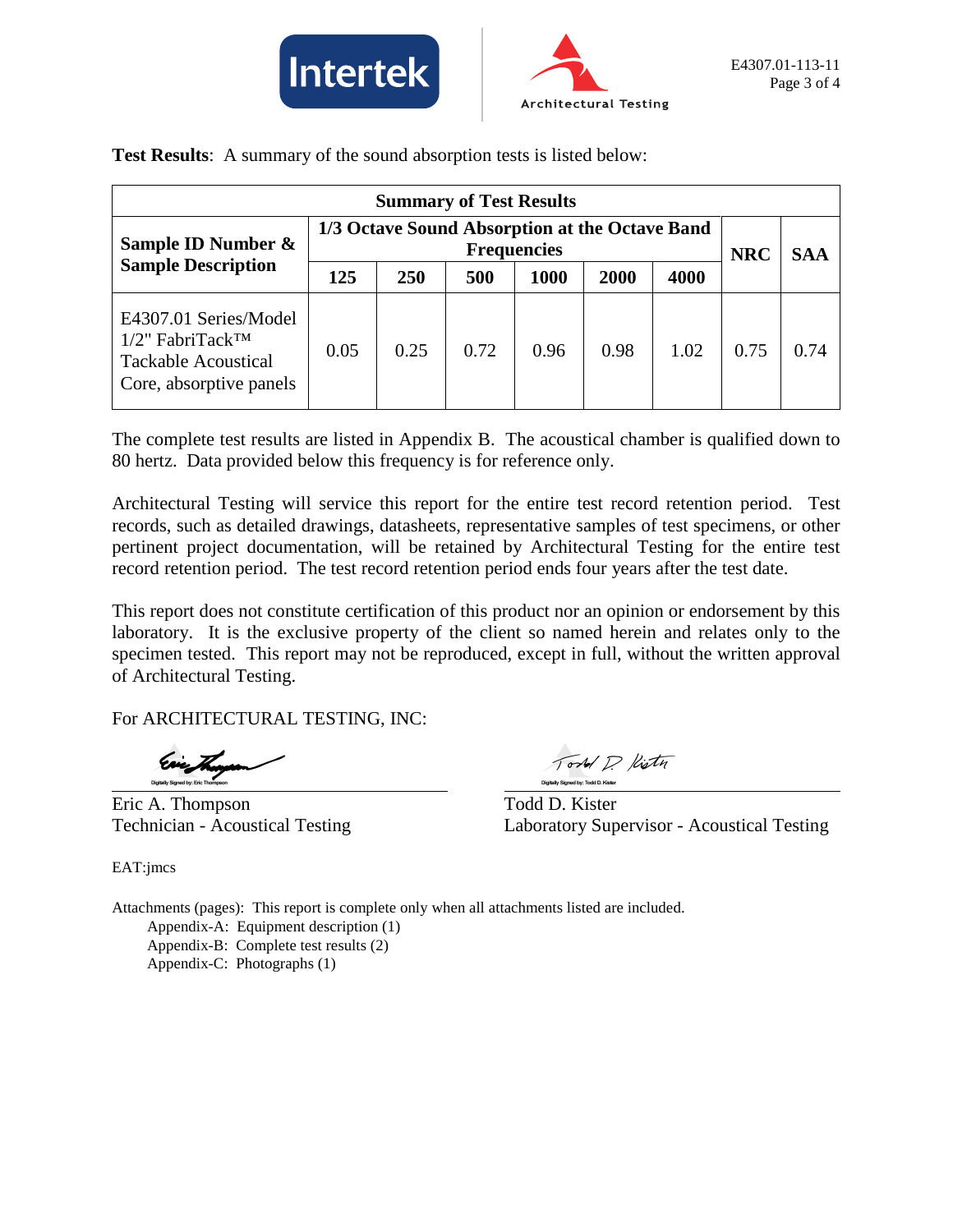



**Test Results**: A summary of the sound absorption tests is listed below:

| <b>Summary of Test Results</b>                                                                                    |                                                                      |            |      |      |      |      |            |            |
|-------------------------------------------------------------------------------------------------------------------|----------------------------------------------------------------------|------------|------|------|------|------|------------|------------|
| Sample ID Number &                                                                                                | 1/3 Octave Sound Absorption at the Octave Band<br><b>Frequencies</b> |            |      |      |      |      | <b>NRC</b> | <b>SAA</b> |
| <b>Sample Description</b>                                                                                         | 125                                                                  | <b>250</b> | 500  | 1000 | 2000 | 4000 |            |            |
| E4307.01 Series/Model<br>$1/2$ " FabriTack <sup>TM</sup><br><b>Tackable Acoustical</b><br>Core, absorptive panels | 0.05                                                                 | 0.25       | 0.72 | 0.96 | 0.98 | 1.02 | 0.75       | 0.74       |

The complete test results are listed in Appendix B. The acoustical chamber is qualified down to 80 hertz. Data provided below this frequency is for reference only.

Architectural Testing will service this report for the entire test record retention period. Test records, such as detailed drawings, datasheets, representative samples of test specimens, or other pertinent project documentation, will be retained by Architectural Testing for the entire test record retention period. The test record retention period ends four years after the test date.

This report does not constitute certification of this product nor an opinion or endorsement by this laboratory. It is the exclusive property of the client so named herein and relates only to the specimen tested. This report may not be reproduced, except in full, without the written approval of Architectural Testing.

For ARCHITECTURAL TESTING, INC:

Digitally Signed by: Eric Thon

Eric A. Thompson Todd D. Kister

ond D. Kistn ned by: Todd D. Kister

Technician - Acoustical Testing Laboratory Supervisor - Acoustical Testing

EAT:jmcs

Attachments (pages): This report is complete only when all attachments listed are included. Appendix-A: Equipment description (1) Appendix-B: Complete test results (2) Appendix-C: Photographs (1)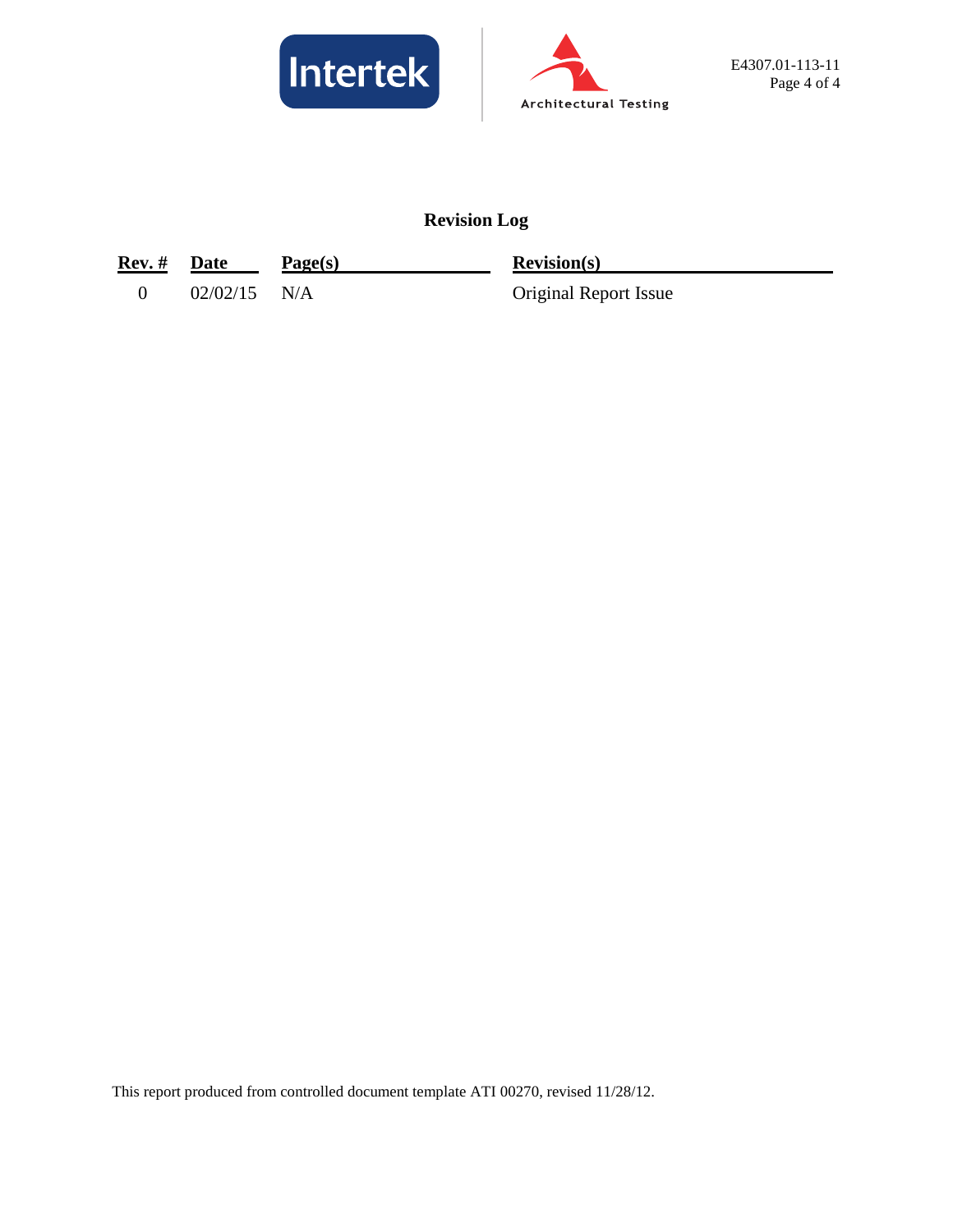



# **Revision Log**

| Rev. # Date |                | Page(s) | Revision(s)                  |
|-------------|----------------|---------|------------------------------|
|             | $02/02/15$ N/A |         | <b>Original Report Issue</b> |

This report produced from controlled document template ATI 00270, revised 11/28/12.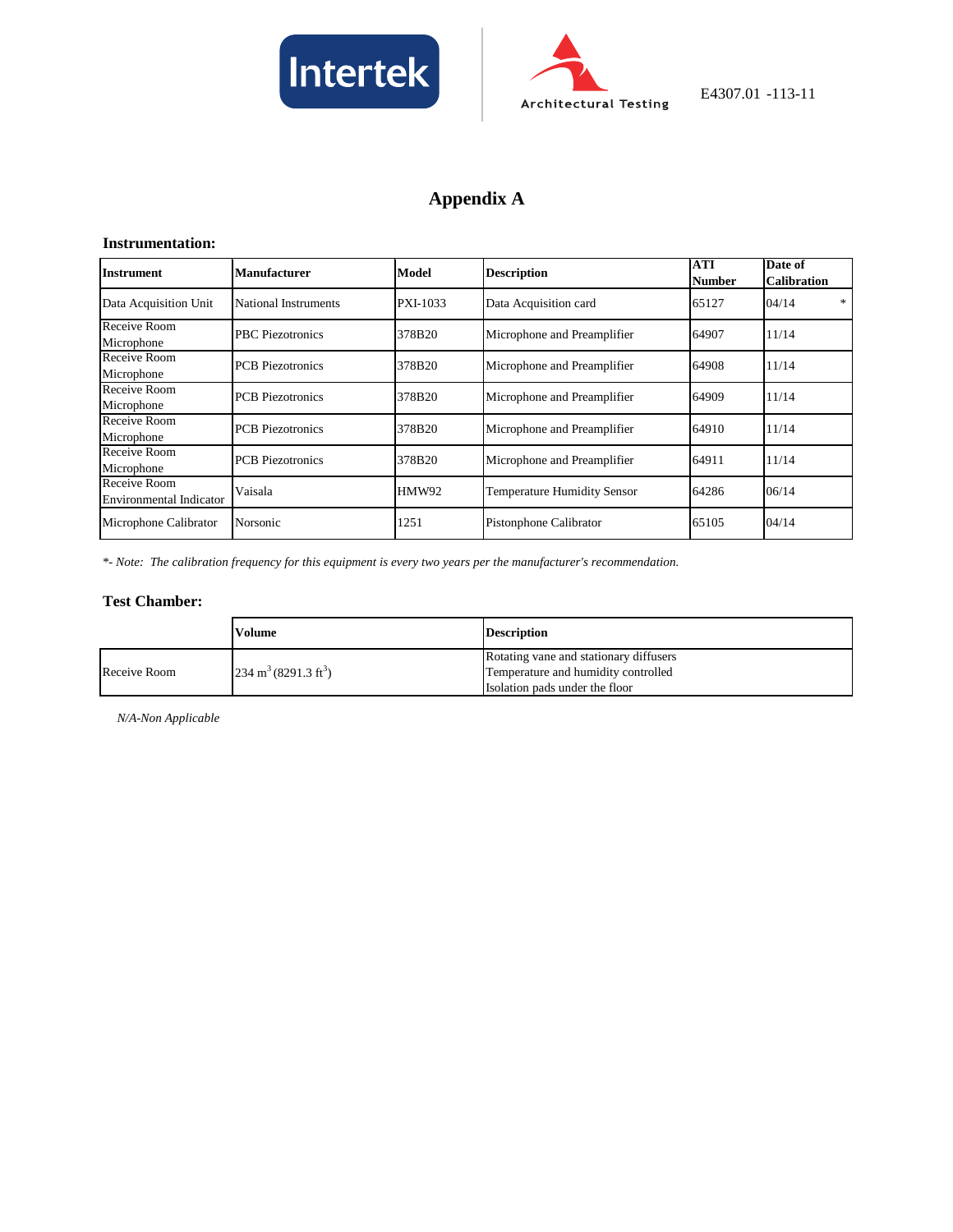



E4307.01 -113-11

# **Appendix A**

#### **Instrumentation:**

| l Instrument                            | <b>Manufacturer</b>     | Model           | <b>Description</b>                 | <b>ATI</b><br><b>Number</b> | Date of<br><b>Calibration</b> |
|-----------------------------------------|-------------------------|-----------------|------------------------------------|-----------------------------|-------------------------------|
| Data Acquisition Unit                   | National Instruments    | <b>PXI-1033</b> | Data Acquisition card              | 65127                       | *<br>04/14                    |
| Receive Room<br>Microphone              | <b>PBC</b> Piezotronics | 378B20          | Microphone and Preamplifier        | 64907                       | 11/14                         |
| Receive Room<br>Microphone              | <b>PCB</b> Piezotronics | 378B20          | Microphone and Preamplifier        | 64908                       | 11/14                         |
| Receive Room<br>Microphone              | <b>PCB</b> Piezotronics | 378B20          | Microphone and Preamplifier        | 64909                       | 11/14                         |
| Receive Room<br>Microphone              | <b>PCB</b> Piezotronics | 378B20          | Microphone and Preamplifier        | 64910                       | 11/14                         |
| Receive Room<br>Microphone              | <b>PCB</b> Piezotronics | 378B20          | Microphone and Preamplifier        | 64911                       | 11/14                         |
| Receive Room<br>Environmental Indicator | Vaisala                 | HMW92           | <b>Temperature Humidity Sensor</b> | 64286                       | 06/14                         |
| Microphone Calibrator                   | Norsonic                | 1251            | Pistonphone Calibrator             | 65105                       | 04/14                         |

*\*- Note: The calibration frequency for this equipment is every two years per the manufacturer's recommendation.*

### **Test Chamber:**

|              | Volume                                  | <b>Description</b>                     |
|--------------|-----------------------------------------|----------------------------------------|
| Receive Room |                                         | Rotating vane and stationary diffusers |
|              | $234 \text{ m}^3 (8291.3 \text{ ft}^3)$ | Temperature and humidity controlled    |
|              |                                         | Isolation pads under the floor         |

*N/A-Non Applicable*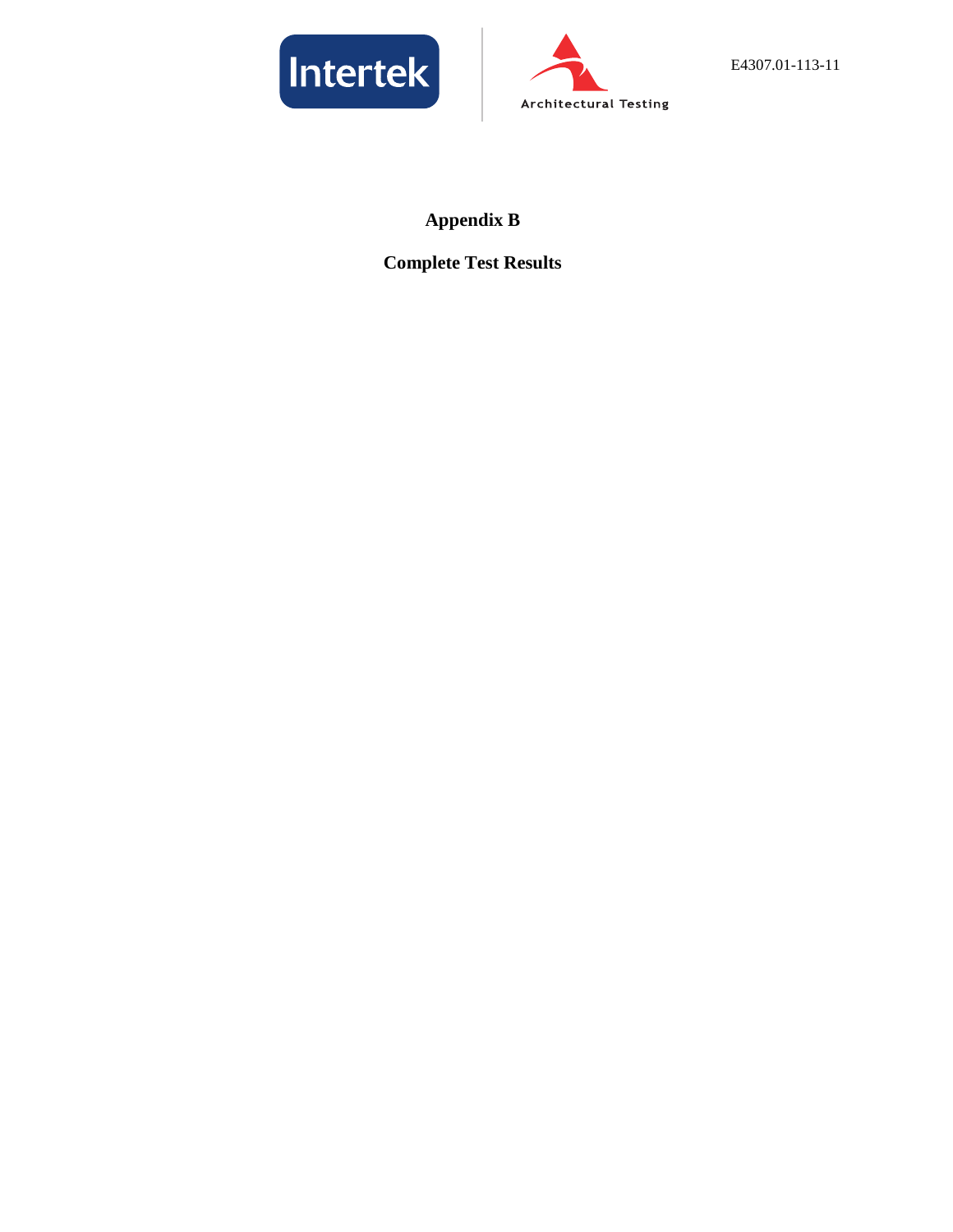



# **Appendix B**

**Complete Test Results**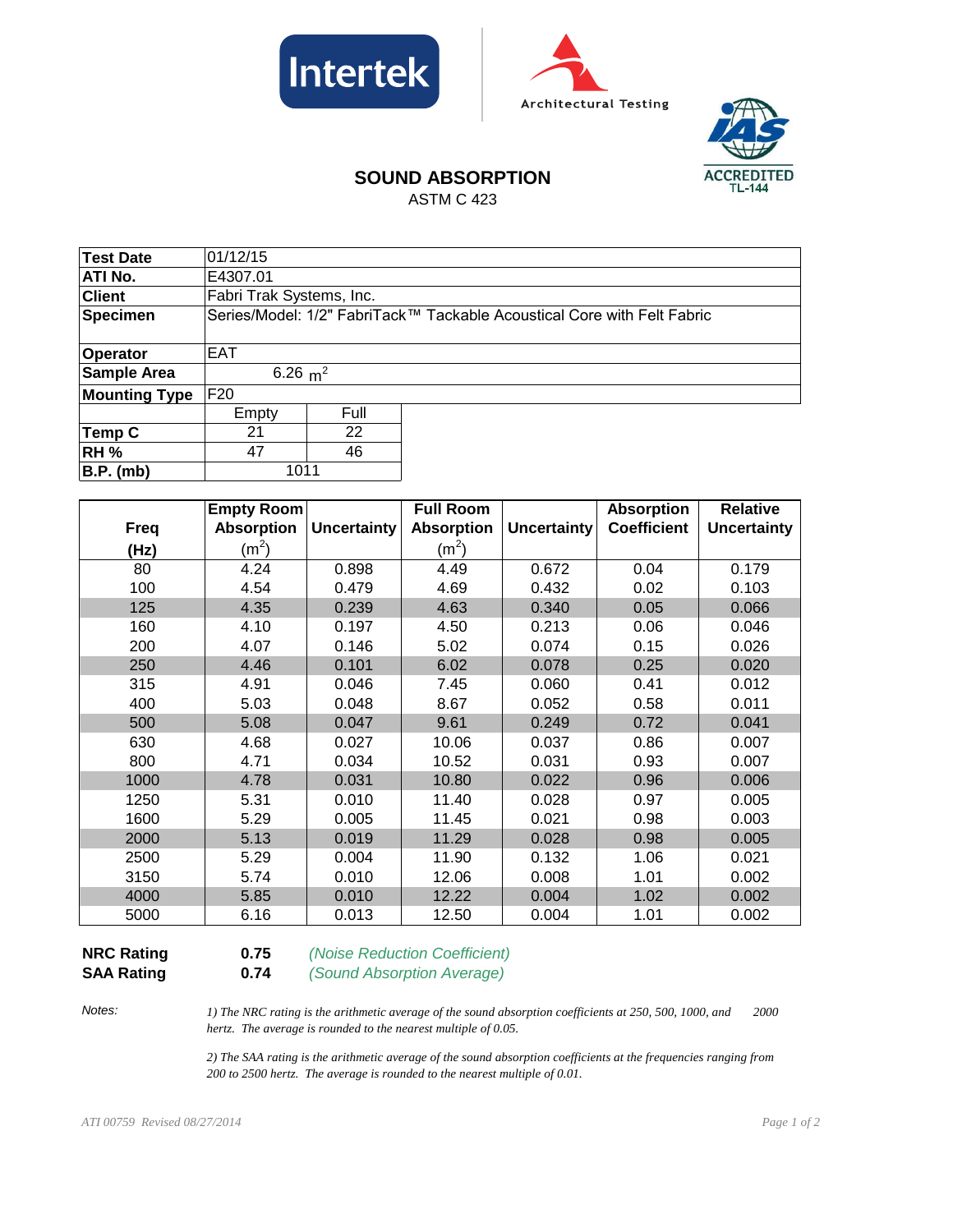





# **SOUND ABSORPTION**

ASTM C 423

| <b>Test Date</b>     | 01/12/15                 |            |                                                                         |  |  |  |
|----------------------|--------------------------|------------|-------------------------------------------------------------------------|--|--|--|
| ATI No.              | E4307.01                 |            |                                                                         |  |  |  |
| <b>Client</b>        | Fabri Trak Systems, Inc. |            |                                                                         |  |  |  |
| <b>Specimen</b>      |                          |            | Series/Model: 1/2" FabriTack™ Tackable Acoustical Core with Felt Fabric |  |  |  |
|                      |                          |            |                                                                         |  |  |  |
| <b>Operator</b>      | EAT                      |            |                                                                         |  |  |  |
| <b>Sample Area</b>   |                          | 6.26 $m^2$ |                                                                         |  |  |  |
| <b>Mounting Type</b> | F20                      |            |                                                                         |  |  |  |
|                      | Empty                    | Full       |                                                                         |  |  |  |
| Temp C               | 21                       | 22         |                                                                         |  |  |  |
| <b>RH %</b>          | 47<br>46                 |            |                                                                         |  |  |  |
| <b>B.P.</b> (mb)     | 1011                     |            |                                                                         |  |  |  |

|             | Empty Room        |                    | <b>Full Room</b>  |                    | <b>Absorption</b>  | <b>Relative</b>    |
|-------------|-------------------|--------------------|-------------------|--------------------|--------------------|--------------------|
| <b>Freq</b> | <b>Absorption</b> | <b>Uncertainty</b> | <b>Absorption</b> | <b>Uncertainty</b> | <b>Coefficient</b> | <b>Uncertainty</b> |
| (Hz)        | (m <sup>2</sup> ) |                    | $(m^2)$           |                    |                    |                    |
| 80          | 4.24              | 0.898              | 4.49              | 0.672              | 0.04               | 0.179              |
| 100         | 4.54              | 0.479              | 4.69              | 0.432              | 0.02               | 0.103              |
| 125         | 4.35              | 0.239              | 4.63              | 0.340              | 0.05               | 0.066              |
| 160         | 4.10              | 0.197              | 4.50              | 0.213              | 0.06               | 0.046              |
| 200         | 4.07              | 0.146              | 5.02              | 0.074              | 0.15               | 0.026              |
| 250         | 4.46              | 0.101              | 6.02              | 0.078              | 0.25               | 0.020              |
| 315         | 4.91              | 0.046              | 7.45              | 0.060              | 0.41               | 0.012              |
| 400         | 5.03              | 0.048              | 8.67              | 0.052              | 0.58               | 0.011              |
| 500         | 5.08              | 0.047              | 9.61              | 0.249              | 0.72               | 0.041              |
| 630         | 4.68              | 0.027              | 10.06             | 0.037              | 0.86               | 0.007              |
| 800         | 4.71              | 0.034              | 10.52             | 0.031              | 0.93               | 0.007              |
| 1000        | 4.78              | 0.031              | 10.80             | 0.022              | 0.96               | 0.006              |
| 1250        | 5.31              | 0.010              | 11.40             | 0.028              | 0.97               | 0.005              |
| 1600        | 5.29              | 0.005              | 11.45             | 0.021              | 0.98               | 0.003              |
| 2000        | 5.13              | 0.019              | 11.29             | 0.028              | 0.98               | 0.005              |
| 2500        | 5.29              | 0.004              | 11.90             | 0.132              | 1.06               | 0.021              |
| 3150        | 5.74              | 0.010              | 12.06             | 0.008              | 1.01               | 0.002              |
| 4000        | 5.85              | 0.010              | 12.22             | 0.004              | 1.02               | 0.002              |
| 5000        | 6.16              | 0.013              | 12.50             | 0.004              | 1.01               | 0.002              |

**NRC Rating 0.75** *(Noise Reduction Coefficient)*

**SAA Rating 0.74** *(Sound Absorption Average)*

*Notes:*

*1) The NRC rating is the arithmetic average of the sound absorption coefficients at 250, 500, 1000, and 2000 hertz. The average is rounded to the nearest multiple of 0.05.*

*2) The SAA rating is the arithmetic average of the sound absorption coefficients at the frequencies ranging from 200 to 2500 hertz. The average is rounded to the nearest multiple of 0.01.*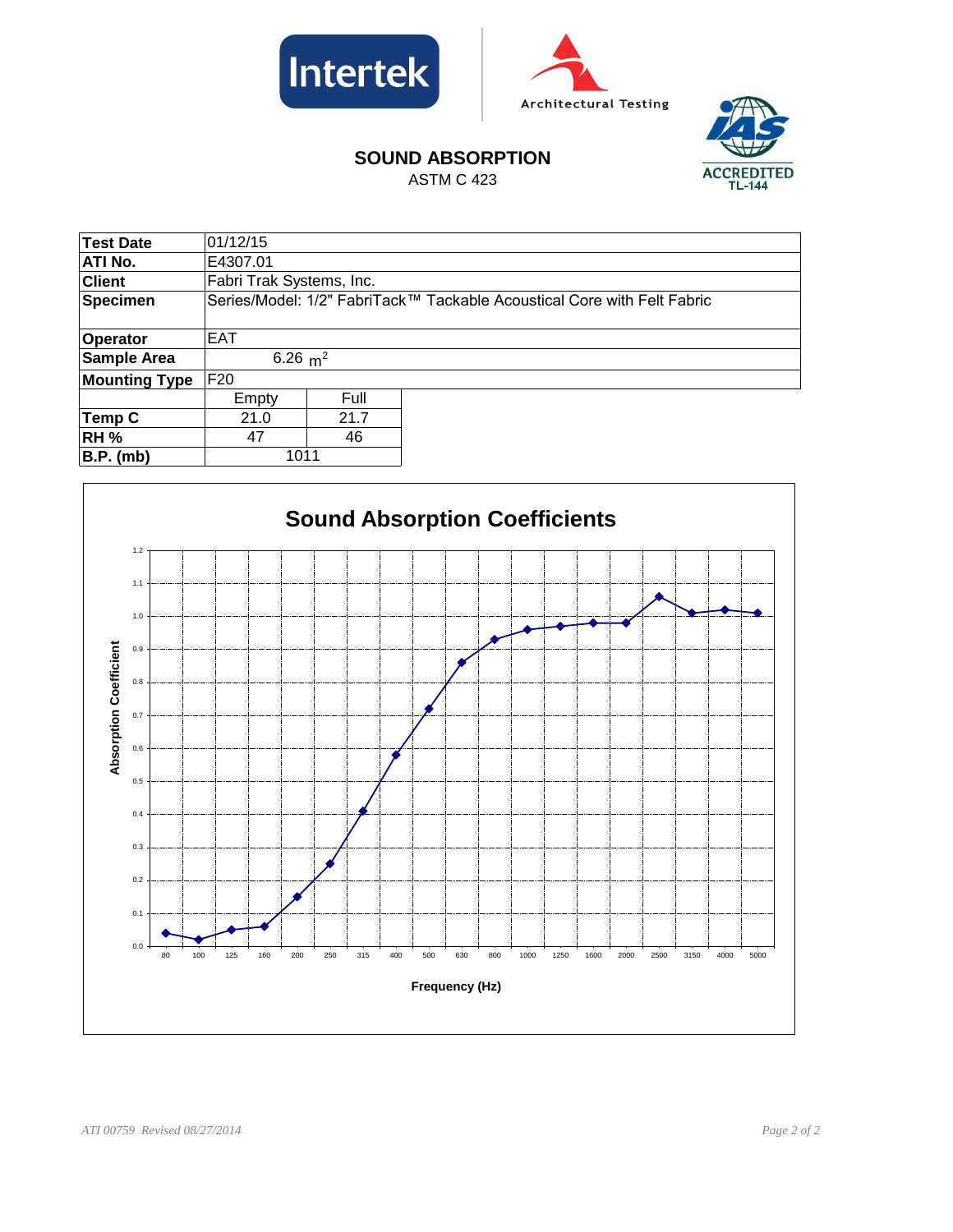





# **SOUND ABSORPTION**

ASTM C 423

| <b>Test Date</b>     | 01/12/15                 |                                                                         |  |  |  |  |
|----------------------|--------------------------|-------------------------------------------------------------------------|--|--|--|--|
| ATI No.              | E4307.01                 |                                                                         |  |  |  |  |
| <b>Client</b>        | Fabri Trak Systems, Inc. |                                                                         |  |  |  |  |
| <b>Specimen</b>      |                          | Series/Model: 1/2" FabriTack™ Tackable Acoustical Core with Felt Fabric |  |  |  |  |
|                      |                          |                                                                         |  |  |  |  |
| Operator             | EAT                      |                                                                         |  |  |  |  |
| <b>Sample Area</b>   | 6.26 $m^2$               |                                                                         |  |  |  |  |
| <b>Mounting Type</b> | F20                      |                                                                         |  |  |  |  |
|                      | Empty                    | Full                                                                    |  |  |  |  |
| Temp C               | 21.0                     | 21.7                                                                    |  |  |  |  |
| <b>RH %</b>          | 47                       | 46                                                                      |  |  |  |  |
| <b>B.P.</b> (mb)     | 1011                     |                                                                         |  |  |  |  |